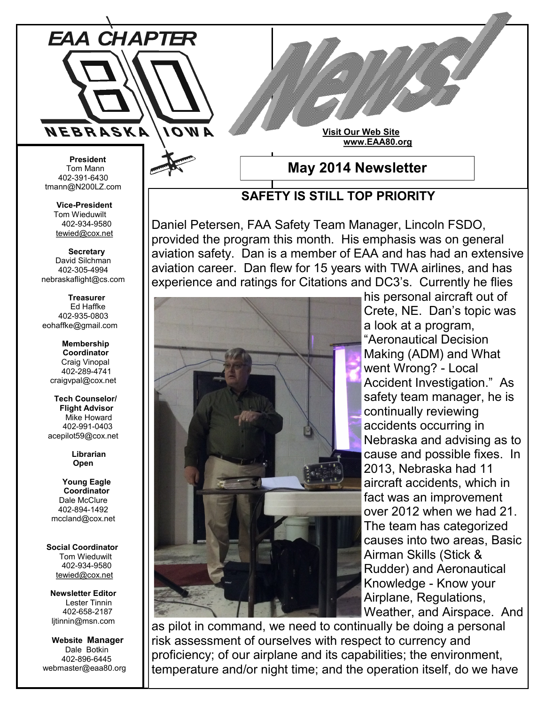

## **Visit Our Web Site www.EAA80.org**

 **President** Tom Mann 402-391-6430 tmann@N200LZ.com

> **Vice-President** Tom Wieduwilt 402-934-9580 [tewied@cox.net](javascript:parent.wgMail.openComposeWindow()

 **Secretary** David Silchman 402-305-4994 nebraskaflight@cs.com

 **Treasurer** Ed Haffke 402-935-0803 eohaffke@gmail.com

> **Membership Coordinator** Craig Vinopal 402-289-4741 craigvpal@cox.net

 **Tech Counselor/ Flight Advisor** Mike Howard 402-991-0403 acepilot59@cox.net

> **Librarian Open**

 **Young Eagle Coordinator** Dale McClure 402-894-1492 mccland@cox.net

 **Social Coordinator** Tom Wieduwilt 402-934-9580 [tewied@cox.net](javascript:parent.wgMail.openComposeWindow()

**Newsletter Editor** Lester Tinnin 402-658-2187 ljtinnin@msn.com

 **Website Manager** Dale Botkin 402-896-6445 webmaster@eaa80.org **May 2014 Newsletter**

## **SAFETY IS STILL TOP PRIORITY**

Daniel Petersen, FAA Safety Team Manager, Lincoln FSDO, provided the program this month. His emphasis was on general aviation safety. Dan is a member of EAA and has had an extensive aviation career. Dan flew for 15 years with TWA airlines, and has experience and ratings for Citations and DC3's. Currently he flies



his personal aircraft out of Crete, NE. Dan's topic was a look at a program, "Aeronautical Decision Making (ADM) and What went Wrong? - Local Accident Investigation." As safety team manager, he is continually reviewing accidents occurring in Nebraska and advising as to cause and possible fixes. In 2013, Nebraska had 11 aircraft accidents, which in fact was an improvement over 2012 when we had 21. The team has categorized causes into two areas, Basic Airman Skills (Stick & Rudder) and Aeronautical Knowledge - Know your Airplane, Regulations, Weather, and Airspace. And

as pilot in command, we need to continually be doing a personal risk assessment of ourselves with respect to currency and proficiency; of our airplane and its capabilities; the environment, temperature and/or night time; and the operation itself, do we have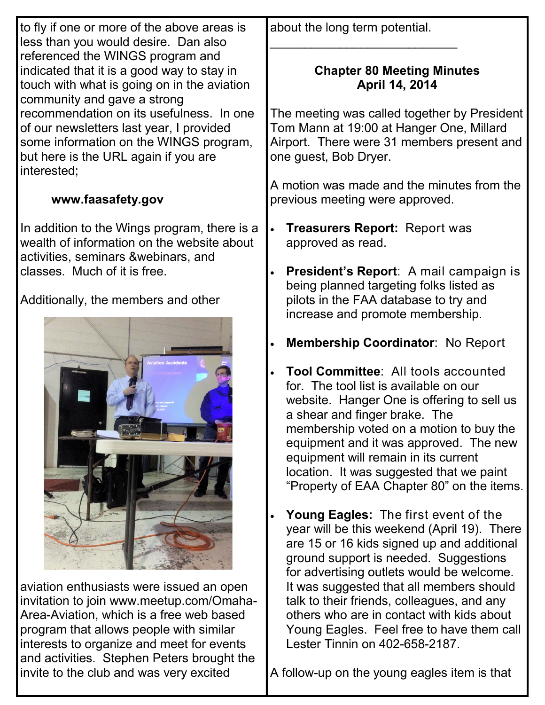| to fly if one or more of the above areas is                                                                                                                                                                              | about the long term potential.                                                                                                                                                                                                                                                                                                                                                             |
|--------------------------------------------------------------------------------------------------------------------------------------------------------------------------------------------------------------------------|--------------------------------------------------------------------------------------------------------------------------------------------------------------------------------------------------------------------------------------------------------------------------------------------------------------------------------------------------------------------------------------------|
| less than you would desire. Dan also<br>referenced the WINGS program and<br>indicated that it is a good way to stay in<br>touch with what is going on in the aviation<br>community and gave a strong                     | <b>Chapter 80 Meeting Minutes</b><br>April 14, 2014                                                                                                                                                                                                                                                                                                                                        |
| recommendation on its usefulness. In one<br>of our newsletters last year, I provided<br>some information on the WINGS program,<br>but here is the URL again if you are<br>interested;                                    | The meeting was called together by President<br>Tom Mann at 19:00 at Hanger One, Millard<br>Airport. There were 31 members present and<br>one guest, Bob Dryer.                                                                                                                                                                                                                            |
| www.faasafety.gov                                                                                                                                                                                                        | A motion was made and the minutes from the<br>previous meeting were approved.                                                                                                                                                                                                                                                                                                              |
| In addition to the Wings program, there is a<br>wealth of information on the website about<br>activities, seminars & webinars, and                                                                                       | <b>Treasurers Report: Report was</b><br>approved as read.                                                                                                                                                                                                                                                                                                                                  |
| classes. Much of it is free.                                                                                                                                                                                             | President's Report: A mail campaign is<br>being planned targeting folks listed as                                                                                                                                                                                                                                                                                                          |
| Additionally, the members and other                                                                                                                                                                                      | pilots in the FAA database to try and<br>increase and promote membership.                                                                                                                                                                                                                                                                                                                  |
|                                                                                                                                                                                                                          | <b>Membership Coordinator: No Report</b><br>$\bullet$                                                                                                                                                                                                                                                                                                                                      |
| viation Accident                                                                                                                                                                                                         | <b>Tool Committee: All tools accounted</b><br>for. The tool list is available on our<br>website. Hanger One is offering to sell us<br>a shear and finger brake. The<br>membership voted on a motion to buy the<br>equipment and it was approved. The new<br>equipment will remain in its current<br>location. It was suggested that we paint<br>"Property of EAA Chapter 80" on the items. |
|                                                                                                                                                                                                                          | <b>Young Eagles:</b> The first event of the<br>$\bullet$<br>year will be this weekend (April 19). There<br>are 15 or 16 kids signed up and additional<br>ground support is needed. Suggestions<br>for advertising outlets would be welcome.                                                                                                                                                |
| aviation enthusiasts were issued an open<br>invitation to join www.meetup.com/Omaha-<br>Area-Aviation, which is a free web based<br>program that allows people with similar<br>interests to organize and meet for events | It was suggested that all members should<br>talk to their friends, colleagues, and any<br>others who are in contact with kids about<br>Young Eagles. Feel free to have them call<br>Lester Tinnin on 402-658-2187.                                                                                                                                                                         |

and activities. Stephen Peters brought the

invite to the club and was very excited

A follow-up on the young eagles item is that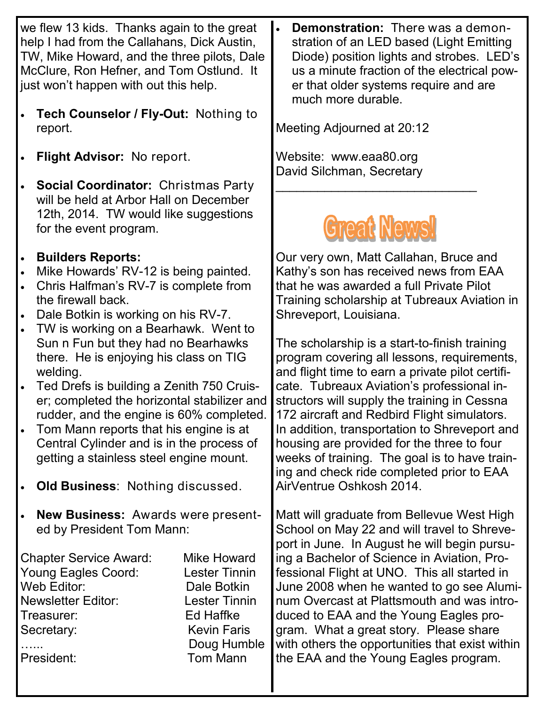we flew 13 kids. Thanks again to the great help I had from the Callahans, Dick Austin, TW, Mike Howard, and the three pilots, Dale McClure, Ron Hefner, and Tom Ostlund. It just won't happen with out this help.

- **Tech Counselor / Fly-Out:** Nothing to report.
- **Flight Advisor:** No report.
- **Social Coordinator:** Christmas Party will be held at Arbor Hall on December 12th, 2014. TW would like suggestions for the event program.
- **Builders Reports:**
- Mike Howards' RV-12 is being painted.
- Chris Halfman's RV-7 is complete from the firewall back.
- Dale Botkin is working on his RV-7.
- TW is working on a Bearhawk. Went to Sun n Fun but they had no Bearhawks there. He is enjoying his class on TIG welding.
- Ted Drefs is building a Zenith 750 Cruiser; completed the horizontal stabilizer and rudder, and the engine is 60% completed.
- Tom Mann reports that his engine is at Central Cylinder and is in the process of getting a stainless steel engine mount.
- **Old Business**: Nothing discussed.
- **New Business:** Awards were presented by President Tom Mann:

Chapter Service Award: Mike Howard Young Eagles Coord: Lester Tinnin Web Editor: Dale Botkin Newsletter Editor: Lester Tinnin Treasurer: Ed Haffke Secretary: Kevin Faris

Doug Humble President: Tom Mann

 **Demonstration:** There was a demonstration of an LED based (Light Emitting Diode) position lights and strobes. LED's us a minute fraction of the electrical power that older systems require and are much more durable.

Meeting Adjourned at 20:12

Website: www.eaa80.org David Silchman, Secretary

## **Great News!**

\_\_\_\_\_\_\_\_\_\_\_\_\_\_\_\_\_\_\_\_\_\_\_\_\_\_\_\_\_

Our very own, Matt Callahan, Bruce and Kathy's son has received news from EAA that he was awarded a full Private Pilot Training scholarship at Tubreaux Aviation in Shreveport, Louisiana.

The scholarship is a start-to-finish training program covering all lessons, requirements, and flight time to earn a private pilot certificate. Tubreaux Aviation's professional instructors will supply the training in Cessna 172 aircraft and Redbird Flight simulators. In addition, transportation to Shreveport and housing are provided for the three to four weeks of training. The goal is to have training and check ride completed prior to EAA AirVentrue Oshkosh 2014.

Matt will graduate from Bellevue West High School on May 22 and will travel to Shreveport in June. In August he will begin pursuing a Bachelor of Science in Aviation, Professional Flight at UNO. This all started in June 2008 when he wanted to go see Aluminum Overcast at Plattsmouth and was introduced to EAA and the Young Eagles program. What a great story. Please share with others the opportunities that exist within the EAA and the Young Eagles program.